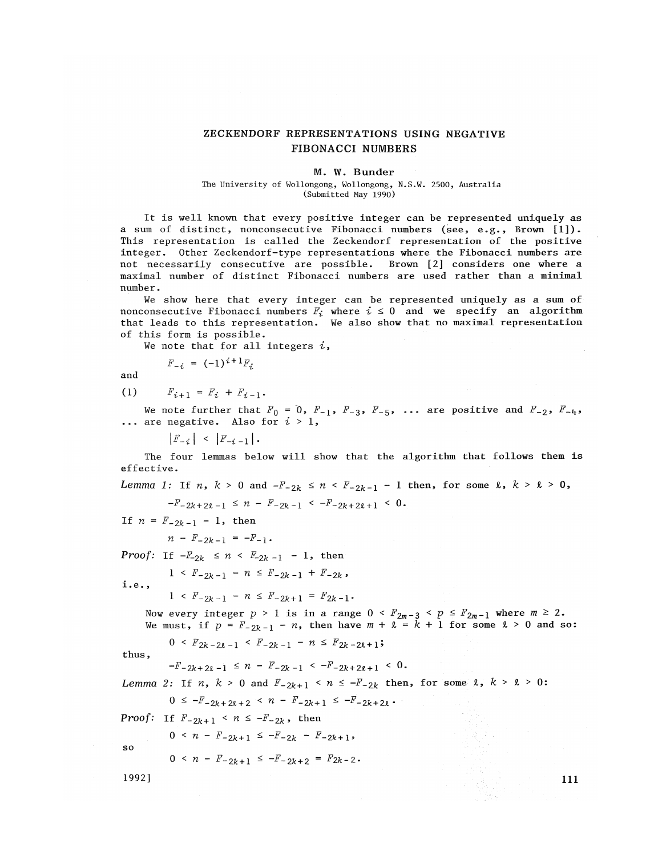## ZECKENDORF REPRESENTATIONS USING NEGATIVE FIBONACCI NUMBERS

#### M. W. Bunder

#### The University of Wollongong, Wollongong, N.S.W. 2500, Australia (Submitted May 1990)

It is well known that every positive integer can be represented uniquely as a sum of distinct, nonconsecutive Fibonacci numbers (see, e.g., Brown [1])- This representation is called the Zeckendorf representation of the positive integer. Other Zeckendorf-type representations where the Fibonacci numbers are not necessarily consecutive are possible. Brown [2] considers one where a maximal number of distinct Fibonacci numbers are used rather than a minimal number.

We show here that every integer can be represented uniquely as a sum of nonconsecutive Fibonacci numbers  $F^i$  where  $i \leq 0$  and we specify an algorithm that leads to this representation. We also show that no maximal representation of this form is possible.

We note that for all integers  $i$ ,

$$
F_{-i} = (-1)^{i+1} F_i
$$

and

(1)  $F_{i+1} = F_i + F_{i-1}$ .

We note further that  $F_0$  = 0,  $F_{-1}$ ,  $F_{-3}$ ,  $F_{-5}$ , ... are positive and  $F_{-2}$ ,  $F_{-4}$ , ... are negative. Also for *i >* 1,

 $\left|F_{-i}\right| \leq \left|F_{-i-1}\right|$ .

The four lemmas below will show that the algorithm that follows them is effective.

 $Lemma \; 1: \; \; \mathrm{If} \; \; n \, , \; \; k \; > \; 0 \; \; \mathrm{and} \; \; \textit{-}F_{-2k} \; \leq \; n \; < \; F_{-2k-1} \; - \; 1 \; \; \mathrm{then} \, , \; \; \mathrm{for} \; \; \mathrm{some} \; \; \ell \, , \; k \; > \; \ell \; > \; 0 \, ,$ 

 $-F_{-2k+2k-1} \leq n - F_{-2k-1} \leq -F_{-2k+2k+1} \leq 0.$ 

If  $n = F_{-2k-1} - 1$ , then

 $n - F_{-2k-1} = -F_{-1}$ .

*Proof:* If  $-F_{-2k} \le n \le F_{-2k-1} - 1$ , then

 $1 \leq F_{-2k-1} - n \leq F_{-2k-1} + F_{-2k}$ 

i . e . ,

 $1 \leq F_{-2k-1} - n \leq F_{-2k+1} = F_{2k-1}$ 

Now every integer  $p$  > 1 is in a range  $0$  <  $F_{2m-3}$  <  $p$   $\leq$   $F_{2m-1}$  where  $m$   $\geq$  2. We must, if  $p = F_{-2k-1} - n$ , then have  $m + k = k + 1$  for some  $k > 0$  and so:

 $0 \leq F_{2k-2\ell-1} \leq F_{-2k-1} - n \leq F_{2k-2\ell+1}$ 

thus,

 $F - F - 2k + 2k - 1 \leq n - F - 2k - 1 \leq -F - 2k + 2k + 1 \leq 0$ 

*Lemma 2:* If  $n$ ,  $k > 0$  and  $F_{-2k+1} < n \leq -F_{-2k}$  then, for some  $\ell$ ,  $k > \ell > 0$ :

$$
0 \leq -F_{-2k+2\ell+2} < n - F_{-2k+1} \leq -F_{-2k+2\ell}.
$$

*Proof:* If  $F_{-2k+1} < n \le -F_{-2k}$ , then

$$
0 < n - F_{-2k+1} \leq -F_{-2k} - F_{-2k+1},
$$

$$
0 < n - F_{-2k+1} \leq -F_{-2k+2} = F_{2k-2}.
$$

1992] For the contract of the contract of the contract of the contract of the contract of the contract of the contract of the contract of the contract of the contract of the contract of the contract of the contract of the

so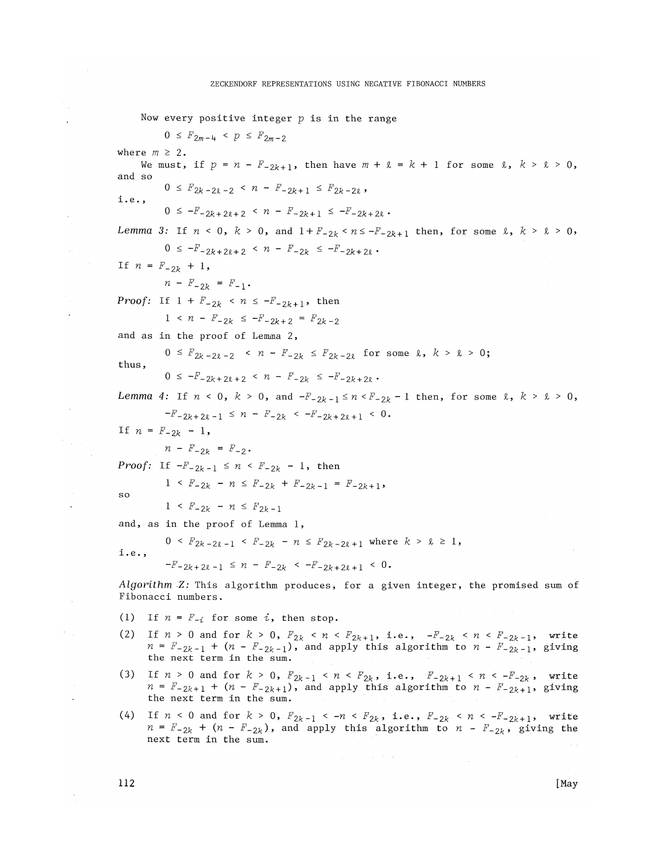Now every positive integer  $p$  is in the range  $0 \leq F_{2m-4} < p \leq F_{2m-2}$ where  $m \geq 2$ . We must, if  $p = n - F_{-2k+1}$ , then have  $m + k = k + 1$  for some  $k$ ,  $k > k > 0$ , and so  $0 \leq F_{2k-2\ell-2} \leq n - F_{-2k+1} \leq F_{2k-2\ell}$ i.e.,  $0 \leq -F_{-2k+2\ell+2} \leq n - F_{-2k+1} \leq -F_{-2k+2\ell}$ . Lemma 3: If  $n < 0$ ,  $k > 0$ , and  $1 + F_{-2k} < n \leq -F_{-2k+1}$  then, for some  $l$ ,  $k > l > 0$ ,  $0 \leq -F_{-2k+2\ell+2} \leq n - F_{-2k} \leq -F_{-2k+2\ell}$ . If  $n = F_{-2k} + 1$ ,  $n - F_{-2k} = F_{-1}$ . *Proof:* If  $1 + F_{-2k} < n \leq -F_{-2k+1}$ , then  $1 \leq n - F_{-2k} \leq -F_{-2k+2} = F_{2k-2}$ and as in the proof of Lemma 2,  $0 \leq F_{2k-2\ell-2} \leq n - F_{-2k} \leq F_{2k-2\ell}$  for some  $k, k > k > 0$ ; thus,  $0 \leq -F_{-2k+2k+2} \leq n - F_{-2k} \leq -F_{-2k+2k}$ . Lemma 4: If  $n < 0$ ,  $k > 0$ , and  $-F_{2k-1} \le n < F_{2k} - 1$  then, for some  $k$ ,  $k > k > 0$ ,  $-F_{-2k+2k-1} \leq n - F_{-2k} < -F_{-2k+2k+1} < 0$ . If  $n = F_{-2k} - 1$ ,  $n - F_{-2k} = F_{-2}$ . *Proof:* If  $-F_{-2k-1} \le n \le F_{-2k} - 1$ , then  $1 \leq F_{-2k} - n \leq F_{-2k} + F_{-2k-1} = F_{-2k+1}$ SO  $1 \leq F_{-2k} - n \leq F_{2k-1}$ and, as in the proof of Lemma 1,  $0 \leq F_{2k-2\ell-1} \leq F_{-2k} - n \leq F_{2k-2\ell+1}$  where  $k > \ell \geq 1$ , i.e.,  $-F_{-2k+2\ell-1} \leq n - F_{-2k} < -F_{-2k+2\ell+1} < 0$ . Algorithm Z: This algorithm produces, for a given integer, the promised sum of Fibonacci numbers. (1) If  $n = F_{-i}$  for some i, then stop. (2) If  $n > 0$  and for  $k > 0$ ,  $F_{2k} < n < F_{2k+1}$ , i.e.,  $-F_{-2k} < n < F_{-2k-1}$ , write  $n = F_{-2k-1} + (n - F_{-2k-1})$ , and apply this algorithm to  $n - F_{-2k-1}$ , giving the next term in the sum. (3) If  $n > 0$  and for  $k > 0$ ,  $F_{2k-1} < n < F_{2k}$ , i.e.,  $F_{-2k+1} < n < -F_{-2k}$ , write  $n = F_{-2k+1} + (n - F_{-2k+1})$ , and apply this algorithm to  $n - F_{-2k+1}$ , giving

(4) If  $n < 0$  and for  $k > 0$ ,  $F_{2k-1} < -n < F_{2k}$ , i.e.,  $F_{-2k} < n < -F_{-2k+1}$ , write  $n = F_{-2k} + (n - F_{-2k})$ , and apply this algorithm to  $n - F_{-2k}$ , giving the next term in the sum.

112

the next term in the sum.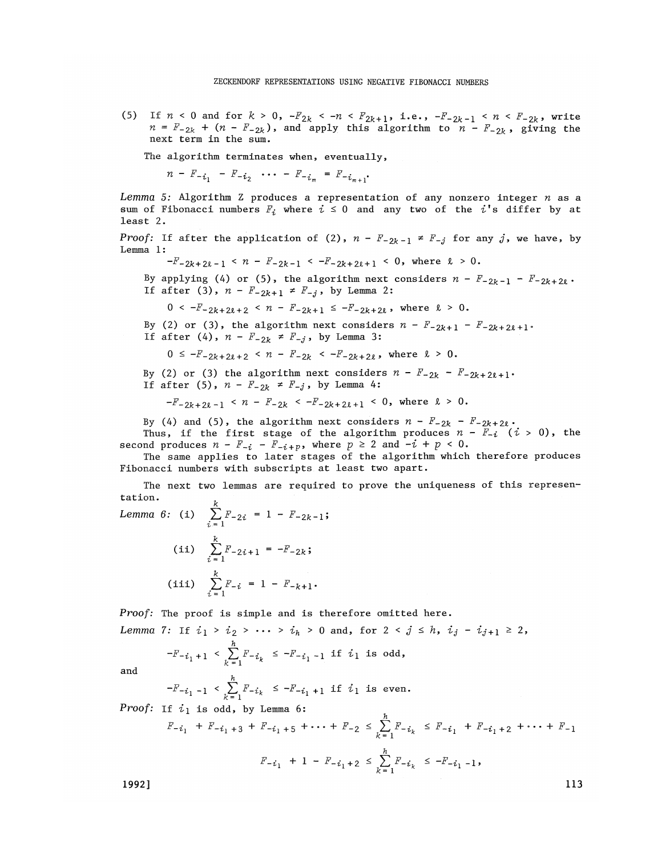(5) If  $n < 0$  and for  $k > 0$ ,  $-F_{2k} < -n < F_{2k+1}$ , i.e.,  $-F_{-2k-1} < n < F_{-2k}$ , write  $n = F_{-2k} + (n - F_{-2k})$ , and apply this algorithm to  $n - F_{-2k}$ , giving the next term in the sum.

The algorithm terminates when, eventually,

 $n-F_{-i_1}$  *- F<sub>-i<sub>2</sub>* ... *- F<sub>-i<sub>m</sub>* =  $F_{-i_{m+1}}$ .</sub></sub>

*Lemma 5:* Algorithm Z produces a representation of any nonzero integer *n* as a sum of Fibonacci numbers  $F_i$  where  $i \leq 0$  and any two of the i's differ by at least 2.

*Proof:* If after the application of (2),  $n - F_{-2k-1} \neq F_{-j}$  for any j, we have, by Lemma 1:

 $-F_{-2k+2\ell - 1}$  <  $n - F_{-2k-1}$  <  $-F_{-2k+2\ell + 1}$  < 0, where  $\ell > 0$ .

By applying (4) or (5), the algorithm next considers  $n - F_{-2k-1} - F_{-2k+2k}$ . If after (3),  $n - F_{-2k+1} \neq F_{-j}$ , by Lemma 2:

$$
0 < -F_{-2k+2\ell+2} < n - F_{-2k+1} \leq -F_{-2k+2\ell} , \text{ where } \ell > 0.
$$

By (2) or (3), the algorithm next considers  $n - F_{-2k+1} - F_{-2k+2k+1}$ . If after (4),  $n - F_{-2k} \neq F_{-j}$ , by Lemma 3:

 $0 \leq -F_{-2k+2\ell+2} < n - F_{-2k} < -F_{-2k+2\ell}$ , where  $\ell > 0$ .

By (2) or (3) the algorithm next considers  $n - F_{-2k} - F_{-2k + 2k + 1}$ . If after (5),  $n - F_{-2k} \neq F_{-j}$ , by Lemma 4:

$$
-F_{-2k+2k-1} < n - F_{-2k} < -F_{-2k+2k+1} < 0, \text{ where } k > 0.
$$

By (4) and (5), the algorithm next considers  $n - F_{-2k} - F_{-2k+2k}$ .

Thus, if the first stage of the algorithm produces  $n - \overline{F_{-i}}$  ( $i > 0$ ), the second produces  $n - F_{-i} - F_{-i+p}$ , where  $p \ge 2$  and  $-i + p < 0$ .

The same applies to later stages of the algorithm which therefore produces Fibonacci numbers with subscripts at least two apart.

The next two lemmas are required to prove the uniqueness of this representation.

Lemma 6: (i) 
$$
\sum_{i=1}^{k} F_{-2i} = 1 - F_{-2k-1};
$$
  
\n(ii) 
$$
\sum_{i=1}^{k} F_{-2i+1} = -F_{-2k};
$$
  
\n(iii) 
$$
\sum_{i=1}^{k} F_{-i} = 1 - F_{-k+1}.
$$

*Proof:* The proof is simple and is therefore omitted here.

Lemma 7: If 
$$
i_1 > i_2 > \cdots > i_h > 0
$$
 and, for  $2 < j \le h$ ,  $i_j - i_{j+1} \ge 2$ ,  
\n
$$
-F_{-i_1+1} < \sum_{i=1}^h F_{-i_k} \le -F_{-i_1-1}
$$
 if  $i_1$  is odd,

and

$$
-F_{-i_1-1} < \sum_{k=1}^{n} F_{-i_k} \le -F_{-i_1+1}
$$
 if  $i_1$  is even.

*Proof:* If  $i_1$  is odd, by Lemma 6:

$$
F_{-i_1} + F_{-i_1+3} + F_{-i_1+5} + \dots + F_{-2} \le \sum_{k=1}^{n} F_{-i_k} \le F_{-i_1} + F_{-i_1+2} + \dots + F_{-1}
$$
  

$$
F_{-i_1} + 1 - F_{-i_1+2} \le \sum_{k=1}^{n} F_{-i_k} \le -F_{-i_1-1},
$$

 $1992$ ] and  $113$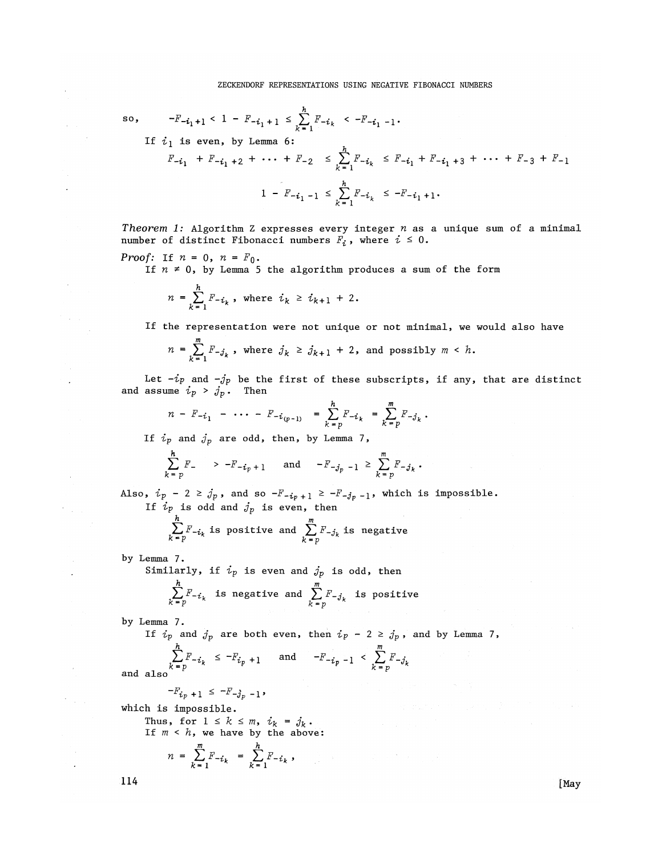so, 
$$
-F_{-i_1+1} < 1 - F_{-i_1+1} \leq \sum_{k=1}^{h} F_{-i_k} < -F_{-i_1-1}
$$
.

If 
$$
i_1
$$
 is even, by Lemma 6:  
\n
$$
F_{-i_1} + F_{-i_1+2} + \cdots + F_{-2} \leq \sum_{k=1}^{h} F_{-i_k} \leq F_{-i_1} + F_{-i_1+3} + \cdots + F_{-3} + F_{-1}
$$
\n
$$
1 - F_{-i_1-1} \leq \sum_{k=1}^{h} F_{-i_k} \leq -F_{-i_1+1}.
$$

*Theorem 1:* Algorithm Z expresses every integer *n* as a unique sum of a minimal number of distinct Fibonacci numbers  $F_i$ , where  $i \leq 0$ .

*Proof:* If 
$$
n = 0
$$
,  $n = F_0$ .

If  $n \neq 0$ , by Lemma 5 the algorithm produces a sum of the form

$$
n = \sum_{k=1}^{h} F_{-i_k}
$$
, where  $i_k \ge i_{k+1} + 2$ .

If the representation were not unique or not minimal, we would also have

$$
n = \sum_{k=1}^{m} F_{-j_k}
$$
, where  $j_k \ge j_{k+1} + 2$ , and possibly  $m < h$ .

Let  $-i_{\mathcal{P}}$  and  $-j_{\mathcal{P}}$  be the first of these subscripts, if any, that are distinct and assume  $i_p$  >  $j_p$ . Then

$$
n - F_{-i_1} - \cdots - F_{-i_{(p-1)}} = \sum_{k=p}^{h} F_{-i_k} = \sum_{k=p}^{m} F_{-j_k}.
$$

If  $i_p$  and  $j_p$  are odd, then, by Lemma 7,

$$
\sum_{k=p}^{h} F_{-} \quad > -F_{-i_{p}+1} \quad \text{and} \quad -F_{-j_{p}-1} \geq \sum_{k=p}^{m} F_{-j_{k}}.
$$

Also,  $i_p$  - 2  $\ge j_p$ , and so  $-F_{-i_p+1} \ge -F_{-j_p-1}$ , which is impossible. If  $i_p$  is odd and  $j_p$  is even, then

$$
\sum_{k=p}^{h} F_{-i_k}
$$
 is positive and 
$$
\sum_{k=p}^{m} F_{-j_k}
$$
 is negative

by Lemma 7.

Similarly, if  $i_p$  is even and  $j_p$  is odd, then

$$
\sum_{k=p}^{n} F_{-i_k}
$$
 is negative and 
$$
\sum_{k=p}^{m} F_{-j_k}
$$
 is positive

by Lemma 7.

If  $i_p$  and  $j_p$  are both even, then  $i_p - 2 \ge j_p$ , and by Lemma 7,

$$
\sum_{k=p}^{n} F_{-i_k} \leq -F_{i_p+1} \quad \text{and} \quad -F_{-i_p-1} < \sum_{k=p}^{m} F_{-j_k}
$$

and also

$$
-F_{i_p+1} \leq -F_{-j_p-1},
$$

which is impossible.

Thus, for  $1 \leq k \leq m$ ,  $i_k = j_k$ . *If m < h,* we have by the above:

 $n = \sum_{k=1}^{m} F_{-i_k} = \sum_{k=1}^{h} F_{-i_k}$